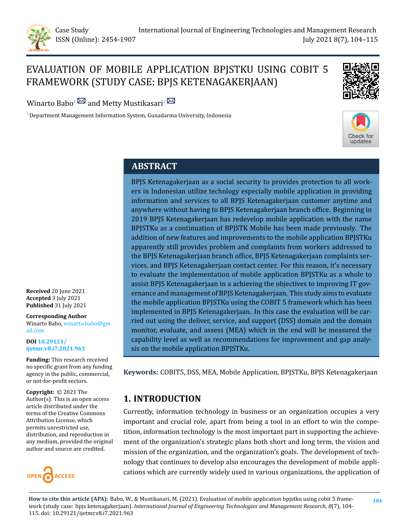

# EVALUATION OF MOBILE APPLICATION BPJSTKU USING COBIT 5 FRAMEWORK (STUDY CASE: BPJS KETENAGAKERJAAN)



Winarto Babo<sup>[1](mailto:metty.mustikasari@gunadarma.ac.id)</sup> and Metty Mustikasari<sup>1</sup>

 $1$ Department Management Information System, Gunadarma University, Indonesia



## **ABSTRACT**

BPJS Ketenagakerjaan as a social security to provides protection to all workers in Indonesian utilize technlogy especially mobile application in providing information and services to all BPJS Ketenagakerjaan customer anytime and anywhere without having to BPJS Ketenagakerjaan branch office. Beginning in 2019 BPJS Ketenagakerjaan has redevelop mobile application with the name BPJSTKu as a continuation of BPJSTK Mobile has been made previously. The addition of new features and improvements to the mobile application BPJSTKu apparently still provides problem and complaints from workers addressed to the BPJS Ketenagakerjaan branch office, BPJS Ketenagakerjaan complaints services, and BPJS Ketenagakerjaan contact center. For this reason, it's necessary to evaluate the implementation of mobile application BPJSTKu as a whole to assist BPJS Ketenagakerjaan in a achieving the objectives to improving IT governance and management of BPJS Ketenagakerjaan. This study aims to evaluate the mobile application BPJSTKu using the COBIT 5 framework which has been implemented in BPJS Ketenagakerjaan. In this case the evaluation will be carried out using the deliver, service, and support (DSS) domain and the domain monitor, evaluate, and assess (MEA) which in the end will be measured the capability level as well as recommendations for improvement and gap analysis on the mobile application BPJSTKu.

**Keywords:** COBIT5, DSS, MEA, Mobile Application, BPJSTKu, BPJS Ketenagakerjaan

## **1. INTRODUCTION**

Currently, information technology in business or an organization occupies a very important and crucial role, apart from being a tool in an effort to win the competition, information technology is the most important part in supporting the achievement of the organization's strategic plans both short and long term, the vision and mission of the organization, and the organization's goals. The development of technology that continues to develop also encourages the development of mobile applications which are currently widely used in various organizations, the application of

**How to cite this article (APA):** Babo, W., & Mustikasari, M. (2021). Evaluation of mobile application bpjstku using cobit 5 framework (study case: bpjs ketenagakerjaan). *[International Journal of Engineering Technologies and Management Research,](https://www.granthaalayahpublication.org/ijetmr-ojms/index.php/ijetmr/) 8*(7), 104-

**Received** 20 June 2021 **Accepted** 3 July 2021 **Published** 31 July 2021

**Corresponding Author** Winarto Babo, [winarto.babo@gm](winarto.babo@gmail.com) [ail.com](winarto.babo@gmail.com)

**DOI [10.29121/](https://doi.org/10.29121/ijetmr.v8.i7.2021.963) [ijetmr.v8.i7.2021.963](https://doi.org/10.29121/ijetmr.v8.i7.2021.963)**

**Funding:** This research received no specific grant from any funding agency in the public, commercial, or not-for-profit sectors.

**Copyright:** © 2021 The Author(s). This is an open access article distributed under the terms of the Creative Commons Attribution License, which permits unrestricted use, distribution, and reproduction in any medium, provided the original author and source are credited.

115. [doi: 10.29121/ijetmr.v8.i7.2021.963](https://doi.org/10.29121/ijetmr.v8.i7.2021.963)

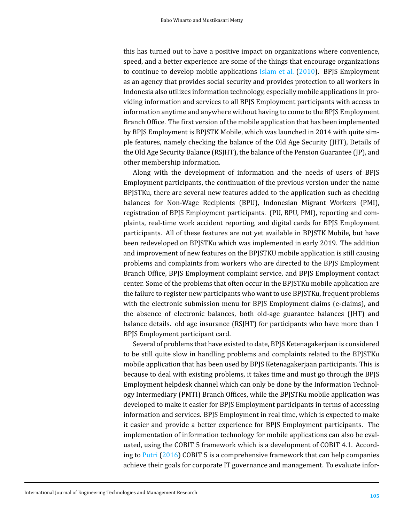this has turned out to have a positive impact on organizations where convenience, speed, and a better experience are some of the things that encourage organizations to continue to develop mobile applications [Islam et al.](#page-10-0) [\(2010](#page-10-0)). BPJS Employment as an agency that provides social security and provides protection to all workers in Indonesia also utilizes information technology, especially mobile applications in providing information and services to all BPJS Employment participants with access to information anytime and anywhere without having to come to the BPJS Employment Branch Office. The first version of the mobile application that has been implemented by BPJS Employment is BPJSTK Mobile, which was launched in 2014 with quite simple features, namely checking the balance of the Old Age Security (JHT), Details of the Old Age Security Balance (RSJHT), the balance of the Pension Guarantee (JP), and other membership information.

Along with the development of information and the needs of users of BPJS Employment participants, the continuation of the previous version under the name BPJSTKu, there are several new features added to the application such as checking balances for Non-Wage Recipients (BPU), Indonesian Migrant Workers (PMI), registration of BPJS Employment participants. (PU, BPU, PMI), reporting and complaints, real-time work accident reporting, and digital cards for BPJS Employment participants. All of these features are not yet available in BPJSTK Mobile, but have been redeveloped on BPJSTKu which was implemented in early 2019. The addition and improvement of new features on the BPJSTKU mobile application is still causing problems and complaints from workers who are directed to the BPJS Employment Branch Office, BPJS Employment complaint service, and BPJS Employment contact center. Some of the problems that often occur in the BPJSTKu mobile application are the failure to register new participants who want to use BPJSTKu, frequent problems with the electronic submission menu for BPJS Employment claims (e-claims), and the absence of electronic balances, both old-age guarantee balances (JHT) and balance details. old age insurance (RSJHT) for participants who have more than 1 BPJS Employment participant card.

Several of problems that have existed to date, BPJS Ketenagakerjaan is considered to be still quite slow in handling problems and complaints related to the BPJSTKu mobile application that has been used by BPJS Ketenagakerjaan participants. This is because to deal with existing problems, it takes time and must go through the BPJS Employment helpdesk channel which can only be done by the Information Technology Intermediary (PMTI) Branch Offices, while the BPJSTKu mobile application was developed to make it easier for BPJS Employment participants in terms of accessing information and services. BPJS Employment in real time, which is expected to make it easier and provide a better experience for BPJS Employment participants. The implementation of information technology for mobile applications can also be evaluated, using the COBIT 5 framework which is a development of COBIT 4.1. Accord-ing to [Putri](#page-11-0)  $(2016)$  $(2016)$  COBIT 5 is a comprehensive framework that can help companies achieve their goals for corporate IT governance and management. To evaluate infor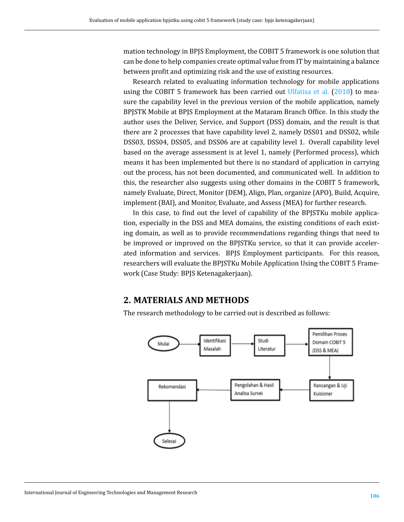mation technology in BPJS Employment, the COBIT 5 framework is one solution that can be done to help companies create optimal value from IT by maintaining a balance between profit and optimizing risk and the use of existing resources.

Research related to evaluating information technology for mobile applications using the COBIT 5 framework has been carried out [Ulfatisa et al.](#page-11-1) ([2018\)](#page-11-1) to measure the capability level in the previous version of the mobile application, namely BPJSTK Mobile at BPJS Employment at the Mataram Branch Office. In this study the author uses the Deliver, Service, and Support (DSS) domain, and the result is that there are 2 processes that have capability level 2, namely DSS01 and DSS02, while DSS03, DSS04, DSS05, and DSS06 are at capability level 1. Overall capability level based on the average assessment is at level 1, namely (Performed process), which means it has been implemented but there is no standard of application in carrying out the process, has not been documented, and communicated well. In addition to this, the researcher also suggests using other domains in the COBIT 5 framework, namely Evaluate, Direct, Monitor (DEM), Align, Plan, organize (APO), Build, Acquire, implement (BAI), and Monitor, Evaluate, and Assess (MEA) for further research.

In this case, to find out the level of capability of the BPJSTKu mobile application, especially in the DSS and MEA domains, the existing conditions of each existing domain, as well as to provide recommendations regarding things that need to be improved or improved on the BPJSTKu service, so that it can provide accelerated information and services. BPJS Employment participants. For this reason, researchers will evaluate the BPJSTKu Mobile Application Using the COBIT 5 Framework (Case Study: BPJS Ketenagakerjaan).

## **2. MATERIALS AND METHODS**

The research methodology to be carried out is described as follows:

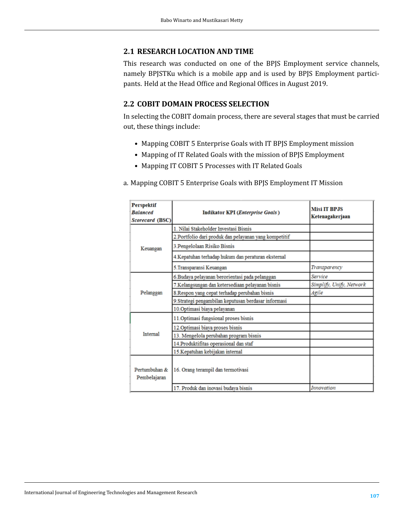#### **2.1 RESEARCH LOCATION AND TIME**

This research was conducted on one of the BPJS Employment service channels, namely BPJSTKu which is a mobile app and is used by BPJS Employment participants. Held at the Head Office and Regional Offices in August 2019.

#### **2.2 COBIT DOMAIN PROCESS SELECTION**

In selecting the COBIT domain process, there are several stages that must be carried out, these things include:

- Mapping COBIT 5 Enterprise Goals with IT BPJS Employment mission
- Mapping of IT Related Goals with the mission of BPJS Employment
- Mapping IT COBIT 5 Processes with IT Related Goals
- a. Mapping COBIT 5 Enterprise Goals with BPJS Employment IT Mission

| Perspektif<br><b>Balanced</b><br>Scorecard (BSC) | <b>Indikator KPI</b> ( <i>Enterprise Goals</i> )      | <b>Misi IT BPJS</b><br>Ketenagakerjaan |
|--------------------------------------------------|-------------------------------------------------------|----------------------------------------|
|                                                  | 1. Nilai Stakeholder Investasi Bisnis                 |                                        |
|                                                  | 2.Portfolio dari produk dan pelayanan yang kompetitif |                                        |
| Keuangan                                         | 3. Pengelolaan Risiko Bisnis                          |                                        |
|                                                  | 4.Kepatuhan terhadap hukum dan peraturan eksternal    |                                        |
|                                                  | 5.Transparansi Keuangan                               | Transparency                           |
|                                                  | 6.Budaya pelayanan berorientasi pada pelanggan        | Service                                |
|                                                  | 7.Kelangsungan dan ketersediaan pelayanan bisnis      | Simplify, Unify, Network               |
| Pelanggan                                        | 8.Respon yang cepat terhadap perubahan bisnis         | Agile                                  |
|                                                  | 9. Strategi pengambilan keputusan berdasar informasi  |                                        |
|                                                  | 10. Optimasi biaya pelayanan                          |                                        |
|                                                  | 11. Optimasi fungsional proses bisnis                 |                                        |
|                                                  | 12. Optimasi biaya proses bisnis                      |                                        |
| <b>Internal</b>                                  | 13. Mengelola perubahan program bisnis                |                                        |
|                                                  | 14. Produktifitas operasional dan staf                |                                        |
|                                                  | 15. Kepatuhan kebijakan internal                      |                                        |
| Pertumbuhan &<br>Pembelajaran                    | 16. Orang terampil dan termotivasi                    |                                        |
|                                                  | 17. Produk dan inovasi budaya bisnis                  | <b>Innovation</b>                      |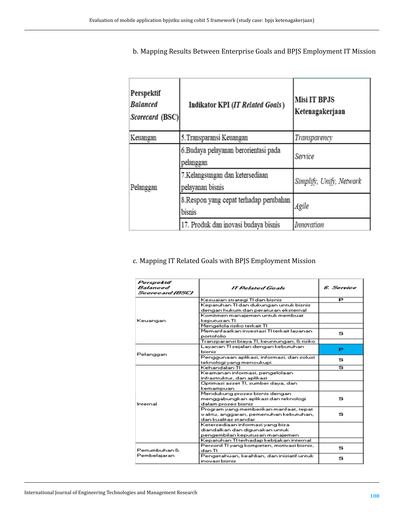b. Mapping Results Between Enterprise Goals and BPJS Employment IT Mission

| <b>Perspektif</b><br><b>Balanced</b><br>Scorecard (BSC) | <b>Indikator KPI (IT Related Goals)</b>             | <b>Misi IT BPJS</b><br>Ketenagakerjaan |
|---------------------------------------------------------|-----------------------------------------------------|----------------------------------------|
| Keuangan                                                | 5. Transparansi Keuangan                            | Transparency                           |
| Pelanggan                                               | 6.Budaya pelayanan berorientasi pada<br>pelanggan   | Service                                |
|                                                         | 7.Kelangsungan dan ketersediaan<br>pelayanan bisnis | Simplify, Unify, Network               |
|                                                         | 8. Respon yang cepat terhadap perubahan<br>bisnis   | Agile                                  |
|                                                         | 17. Produk dan inovasi budaya bisnis                | <b>Innovation</b>                      |

## c. Mapping IT Related Goals with BPJS Employment Mission

| P<br>Kesuaian strategi TI dan bisnis<br>Kepatuhan TI dan dukungan untuk bisnis<br>dengan hukum dan peraturan eksternal<br>Komitmen manajemen untuk membuat<br>keputusan TI<br>Mengelola risiko terkait TI<br>Memanfaatkan investasi TI terkait layanan<br>s<br>portofolio<br>Transparansi biaya TI, keuntungan, & risiko<br>Layanan TI sejalan dengan kebutuhan<br>P<br>bisnis<br>Pelanggan<br>Penggunaan aplikasi, informasi, dan solusi<br>s<br>teknologi yang menoukupi<br>Kehandalan TI<br>s<br>Keamanan informasi, pengelolaan<br>infrastruktur, dan aplikasi<br>Optimasi asset TI, sumber daya, dan<br>kemampuan<br>Mendukung proses bisnis dengan<br>s<br>menggabungkan aplikasi dan teknologi<br>dalam proses bisnis<br>Program yang memberikan manfaat, tepat<br>s<br>waktu, anggaran, pemenuhan kebutuhan,<br>dan kualitas standar<br>Ketersediaan informasi yang bisa<br>diandalkan dan digunakan untuk<br>pengembilan keputusan manajemen<br>Kepatuhan TI terhadap kebijakan internal<br>Personil TI yang kompeten, motivasi bisnis,<br>s<br>dan TI<br>Pengetahuan, keahlian, dan inisiatif untuk<br>s | Perspektif<br>Balanced<br>Saareaard (BSC) | IT Related Goals | 6. Service |
|--------------------------------------------------------------------------------------------------------------------------------------------------------------------------------------------------------------------------------------------------------------------------------------------------------------------------------------------------------------------------------------------------------------------------------------------------------------------------------------------------------------------------------------------------------------------------------------------------------------------------------------------------------------------------------------------------------------------------------------------------------------------------------------------------------------------------------------------------------------------------------------------------------------------------------------------------------------------------------------------------------------------------------------------------------------------------------------------------------------------|-------------------------------------------|------------------|------------|
|                                                                                                                                                                                                                                                                                                                                                                                                                                                                                                                                                                                                                                                                                                                                                                                                                                                                                                                                                                                                                                                                                                                    |                                           |                  |            |
|                                                                                                                                                                                                                                                                                                                                                                                                                                                                                                                                                                                                                                                                                                                                                                                                                                                                                                                                                                                                                                                                                                                    |                                           |                  |            |
|                                                                                                                                                                                                                                                                                                                                                                                                                                                                                                                                                                                                                                                                                                                                                                                                                                                                                                                                                                                                                                                                                                                    |                                           |                  |            |
|                                                                                                                                                                                                                                                                                                                                                                                                                                                                                                                                                                                                                                                                                                                                                                                                                                                                                                                                                                                                                                                                                                                    |                                           |                  |            |
|                                                                                                                                                                                                                                                                                                                                                                                                                                                                                                                                                                                                                                                                                                                                                                                                                                                                                                                                                                                                                                                                                                                    | Keuangan                                  |                  |            |
|                                                                                                                                                                                                                                                                                                                                                                                                                                                                                                                                                                                                                                                                                                                                                                                                                                                                                                                                                                                                                                                                                                                    |                                           |                  |            |
|                                                                                                                                                                                                                                                                                                                                                                                                                                                                                                                                                                                                                                                                                                                                                                                                                                                                                                                                                                                                                                                                                                                    |                                           |                  |            |
|                                                                                                                                                                                                                                                                                                                                                                                                                                                                                                                                                                                                                                                                                                                                                                                                                                                                                                                                                                                                                                                                                                                    |                                           |                  |            |
|                                                                                                                                                                                                                                                                                                                                                                                                                                                                                                                                                                                                                                                                                                                                                                                                                                                                                                                                                                                                                                                                                                                    |                                           |                  |            |
|                                                                                                                                                                                                                                                                                                                                                                                                                                                                                                                                                                                                                                                                                                                                                                                                                                                                                                                                                                                                                                                                                                                    |                                           |                  |            |
|                                                                                                                                                                                                                                                                                                                                                                                                                                                                                                                                                                                                                                                                                                                                                                                                                                                                                                                                                                                                                                                                                                                    |                                           |                  |            |
|                                                                                                                                                                                                                                                                                                                                                                                                                                                                                                                                                                                                                                                                                                                                                                                                                                                                                                                                                                                                                                                                                                                    |                                           |                  |            |
|                                                                                                                                                                                                                                                                                                                                                                                                                                                                                                                                                                                                                                                                                                                                                                                                                                                                                                                                                                                                                                                                                                                    |                                           |                  |            |
|                                                                                                                                                                                                                                                                                                                                                                                                                                                                                                                                                                                                                                                                                                                                                                                                                                                                                                                                                                                                                                                                                                                    |                                           |                  |            |
|                                                                                                                                                                                                                                                                                                                                                                                                                                                                                                                                                                                                                                                                                                                                                                                                                                                                                                                                                                                                                                                                                                                    |                                           |                  |            |
|                                                                                                                                                                                                                                                                                                                                                                                                                                                                                                                                                                                                                                                                                                                                                                                                                                                                                                                                                                                                                                                                                                                    |                                           |                  |            |
|                                                                                                                                                                                                                                                                                                                                                                                                                                                                                                                                                                                                                                                                                                                                                                                                                                                                                                                                                                                                                                                                                                                    |                                           |                  |            |
|                                                                                                                                                                                                                                                                                                                                                                                                                                                                                                                                                                                                                                                                                                                                                                                                                                                                                                                                                                                                                                                                                                                    |                                           |                  |            |
|                                                                                                                                                                                                                                                                                                                                                                                                                                                                                                                                                                                                                                                                                                                                                                                                                                                                                                                                                                                                                                                                                                                    |                                           |                  |            |
|                                                                                                                                                                                                                                                                                                                                                                                                                                                                                                                                                                                                                                                                                                                                                                                                                                                                                                                                                                                                                                                                                                                    |                                           |                  |            |
|                                                                                                                                                                                                                                                                                                                                                                                                                                                                                                                                                                                                                                                                                                                                                                                                                                                                                                                                                                                                                                                                                                                    | Internal                                  |                  |            |
|                                                                                                                                                                                                                                                                                                                                                                                                                                                                                                                                                                                                                                                                                                                                                                                                                                                                                                                                                                                                                                                                                                                    |                                           |                  |            |
|                                                                                                                                                                                                                                                                                                                                                                                                                                                                                                                                                                                                                                                                                                                                                                                                                                                                                                                                                                                                                                                                                                                    |                                           |                  |            |
|                                                                                                                                                                                                                                                                                                                                                                                                                                                                                                                                                                                                                                                                                                                                                                                                                                                                                                                                                                                                                                                                                                                    |                                           |                  |            |
|                                                                                                                                                                                                                                                                                                                                                                                                                                                                                                                                                                                                                                                                                                                                                                                                                                                                                                                                                                                                                                                                                                                    |                                           |                  |            |
|                                                                                                                                                                                                                                                                                                                                                                                                                                                                                                                                                                                                                                                                                                                                                                                                                                                                                                                                                                                                                                                                                                                    |                                           |                  |            |
|                                                                                                                                                                                                                                                                                                                                                                                                                                                                                                                                                                                                                                                                                                                                                                                                                                                                                                                                                                                                                                                                                                                    |                                           |                  |            |
|                                                                                                                                                                                                                                                                                                                                                                                                                                                                                                                                                                                                                                                                                                                                                                                                                                                                                                                                                                                                                                                                                                                    |                                           |                  |            |
|                                                                                                                                                                                                                                                                                                                                                                                                                                                                                                                                                                                                                                                                                                                                                                                                                                                                                                                                                                                                                                                                                                                    |                                           |                  |            |
|                                                                                                                                                                                                                                                                                                                                                                                                                                                                                                                                                                                                                                                                                                                                                                                                                                                                                                                                                                                                                                                                                                                    | Pertumbuhan &                             |                  |            |
|                                                                                                                                                                                                                                                                                                                                                                                                                                                                                                                                                                                                                                                                                                                                                                                                                                                                                                                                                                                                                                                                                                                    | Pembelajaran                              |                  |            |
|                                                                                                                                                                                                                                                                                                                                                                                                                                                                                                                                                                                                                                                                                                                                                                                                                                                                                                                                                                                                                                                                                                                    |                                           | inovasi bisnis   |            |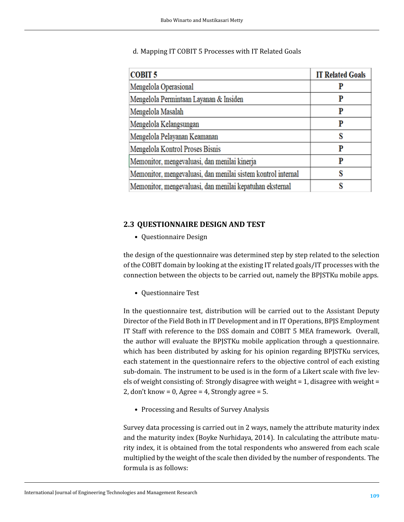### d. Mapping IT COBIT 5 Processes with IT Related Goals

| <b>COBIT 5</b>                                               | <b>IT Related Goals</b> |
|--------------------------------------------------------------|-------------------------|
| Mengelola Operasional                                        |                         |
| Mengelola Permintaan Layanan & Insiden                       |                         |
| Mengelola Masalah                                            | P                       |
| Mengelola Kelangsungan                                       |                         |
| Mengelola Pelayanan Keamanan                                 | S                       |
| Mengelola Kontrol Proses Bisnis                              | P                       |
| Memonitor, mengevaluasi, dan menilai kinerja                 | p                       |
| Memonitor, mengevaluasi, dan menilai sistem kontrol internal |                         |
| Memonitor, mengevaluasi, dan menilai kepatuhan eksternal     |                         |

## **2.3 QUESTIONNAIRE DESIGN AND TEST**

• Questionnaire Design

the design of the questionnaire was determined step by step related to the selection of the COBIT domain by looking at the existing IT related goals/IT processes with the connection between the objects to be carried out, namely the BPJSTKu mobile apps.

• Questionnaire Test

In the questionnaire test, distribution will be carried out to the Assistant Deputy Director of the Field Both in IT Development and in IT Operations, BPJS Employment IT Staff with reference to the DSS domain and COBIT 5 MEA framework. Overall, the author will evaluate the BPJSTKu mobile application through a questionnaire. which has been distributed by asking for his opinion regarding BPJSTKu services, each statement in the questionnaire refers to the objective control of each existing sub-domain. The instrument to be used is in the form of a Likert scale with five levels of weight consisting of: Strongly disagree with weight = 1, disagree with weight = 2, don't know = 0, Agree = 4, Strongly agree = 5.

• Processing and Results of Survey Analysis

Survey data processing is carried out in 2 ways, namely the attribute maturity index and the maturity index (Boyke Nurhidaya, 2014). In calculating the attribute maturity index, it is obtained from the total respondents who answered from each scale multiplied by the weight of the scale then divided by the number of respondents. The formula is as follows: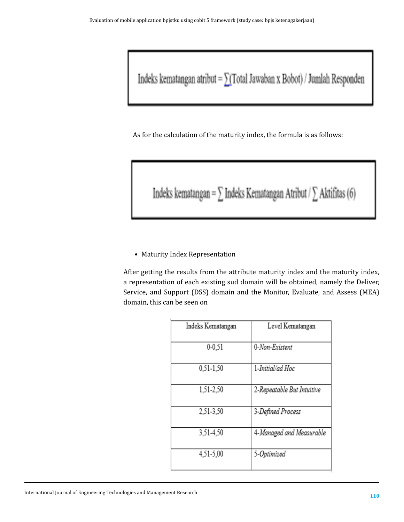Indeks kematangan atribut = $\sum(\text{Total Jawaban} \ge \text{Bobot})$ / Jumlah Responden

As for the calculation of the maturity index, the formula is as follows:

Indeks kematangan =  $\sum$  Indeks Kematangan Atribut /  $\sum$  Aktifitas (6)

• Maturity Index Representation

After getting the results from the attribute maturity index and the maturity index, a representation of each existing sud domain will be obtained, namely the Deliver, Service, and Support (DSS) domain and the Monitor, Evaluate, and Assess (MEA) domain, this can be seen on

| Indeks Kematangan | Level Kematangan           |
|-------------------|----------------------------|
| $0 - 0.51$        | 0-Non-Existent             |
| 0.51-1.50         | 1-Initial/ad Hoc           |
| 1,51-2,50         | 2-Repeatable But Intuitive |
| 2,51-3,50         | 3-Defined Process          |
| 3,51-4,50         | 4-Managed and Measurable   |
| 4,51-5,00         | 5-Optimized                |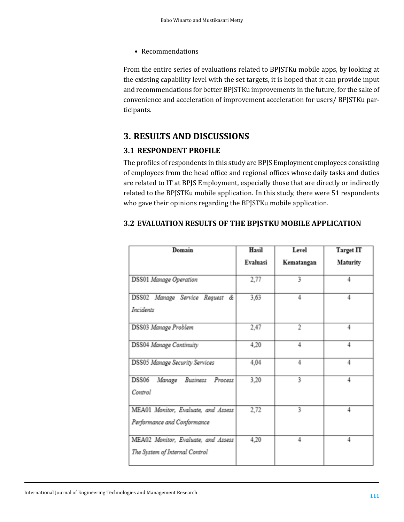• Recommendations

From the entire series of evaluations related to BPJSTKu mobile apps, by looking at the existing capability level with the set targets, it is hoped that it can provide input and recommendations for better BPJSTKu improvements in the future, for the sake of convenience and acceleration of improvement acceleration for users/ BPJSTKu participants.

## **3. RESULTS AND DISCUSSIONS**

#### **3.1 RESPONDENT PROFILE**

The profiles of respondents in this study are BPJS Employment employees consisting of employees from the head office and regional offices whose daily tasks and duties are related to IT at BPJS Employment, especially those that are directly or indirectly related to the BPJSTKu mobile application. In this study, there were 51 respondents who gave their opinions regarding the BPJSTKu mobile application.

| Domain                                                                | Hasil    | Level      | <b>Target IT</b> |
|-----------------------------------------------------------------------|----------|------------|------------------|
|                                                                       | Evaluasi | Kematangan | Maturity         |
| <b>DSS01</b> Manage Operation                                         | 2,77     | 3          |                  |
| DSS02 Manage Service Request &<br>Incidents                           | 3,63     | 4          | 4                |
| DSS03 Manage Problem                                                  | 2,47     | 2          | 4                |
| DSS04 Manage Continuity                                               | 4,20     | 4          | 4                |
| <b>DSS05 Manage Security Services</b>                                 | 4,04     | 4          | 4                |
| DSS06<br>Business<br>Manage<br>Process<br>Control                     | 3,20     | 3          | 4                |
| MEA01 Monitor, Evaluate, and Assess<br>Performance and Conformance    | 2,72     | 3          | 4                |
| MEA02 Monitor, Evaluate, and Assess<br>The System of Internal Control | 4,20     | 4          | 4                |

#### **3.2 EVALUATION RESULTS OF THE BPJSTKU MOBILE APPLICATION**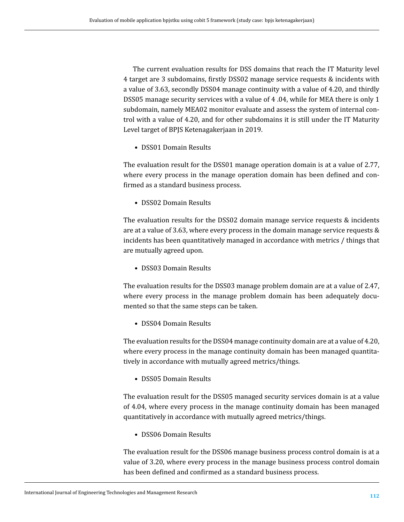The current evaluation results for DSS domains that reach the IT Maturity level 4 target are 3 subdomains, firstly DSS02 manage service requests & incidents with a value of 3.63, secondly DSS04 manage continuity with a value of 4.20, and thirdly DSS05 manage security services with a value of 4 .04, while for MEA there is only 1 subdomain, namely MEA02 monitor evaluate and assess the system of internal control with a value of 4.20, and for other subdomains it is still under the IT Maturity Level target of BPJS Ketenagakerjaan in 2019.

• DSS01 Domain Results

The evaluation result for the DSS01 manage operation domain is at a value of 2.77, where every process in the manage operation domain has been defined and confirmed as a standard business process.

• DSS02 Domain Results

The evaluation results for the DSS02 domain manage service requests & incidents are at a value of 3.63, where every process in the domain manage service requests & incidents has been quantitatively managed in accordance with metrics / things that are mutually agreed upon.

• DSS03 Domain Results

The evaluation results for the DSS03 manage problem domain are at a value of 2.47, where every process in the manage problem domain has been adequately documented so that the same steps can be taken.

• DSS04 Domain Results

The evaluation results for the DSS04 manage continuity domain are at a value of 4.20, where every process in the manage continuity domain has been managed quantitatively in accordance with mutually agreed metrics/things.

• DSS05 Domain Results

The evaluation result for the DSS05 managed security services domain is at a value of 4.04, where every process in the manage continuity domain has been managed quantitatively in accordance with mutually agreed metrics/things.

• DSS06 Domain Results

The evaluation result for the DSS06 manage business process control domain is at a value of 3.20, where every process in the manage business process control domain has been defined and confirmed as a standard business process.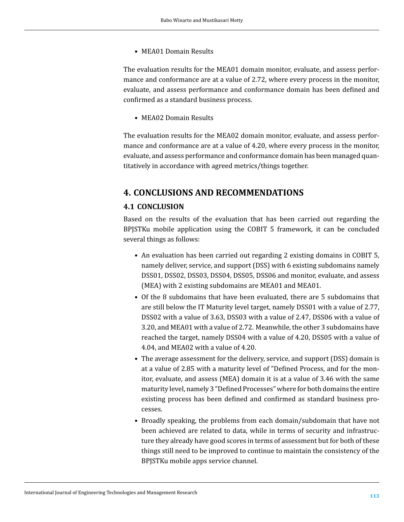• MEA01 Domain Results

The evaluation results for the MEA01 domain monitor, evaluate, and assess performance and conformance are at a value of 2.72, where every process in the monitor, evaluate, and assess performance and conformance domain has been defined and confirmed as a standard business process.

• MEA02 Domain Results

The evaluation results for the MEA02 domain monitor, evaluate, and assess performance and conformance are at a value of 4.20, where every process in the monitor, evaluate, and assess performance and conformance domain has been managed quantitatively in accordance with agreed metrics/things together.

## **4. CONCLUSIONS AND RECOMMENDATIONS**

### **4.1 CONCLUSION**

Based on the results of the evaluation that has been carried out regarding the BPJSTKu mobile application using the COBIT 5 framework, it can be concluded several things as follows:

- An evaluation has been carried out regarding 2 existing domains in COBIT 5, namely deliver, service, and support (DSS) with 6 existing subdomains namely DSS01, DSS02, DSS03, DSS04, DSS05, DSS06 and monitor, evaluate, and assess (MEA) with 2 existing subdomains are MEA01 and MEA01.
- Of the 8 subdomains that have been evaluated, there are 5 subdomains that are still below the IT Maturity level target, namely DSS01 with a value of 2.77, DSS02 with a value of 3.63, DSS03 with a value of 2.47, DSS06 with a value of 3.20, and MEA01 with a value of 2.72. Meanwhile, the other 3 subdomains have reached the target, namely DSS04 with a value of 4.20, DSS05 with a value of 4.04, and MEA02 with a value of 4.20.
- The average assessment for the delivery, service, and support (DSS) domain is at a value of 2.85 with a maturity level of "Defined Process, and for the monitor, evaluate, and assess (MEA) domain it is at a value of 3.46 with the same maturity level, namely 3 "Defined Processes" where for both domains the entire existing process has been defined and confirmed as standard business processes.
- Broadly speaking, the problems from each domain/subdomain that have not been achieved are related to data, while in terms of security and infrastructure they already have good scores in terms of assessment but for both of these things still need to be improved to continue to maintain the consistency of the BPJSTKu mobile apps service channel.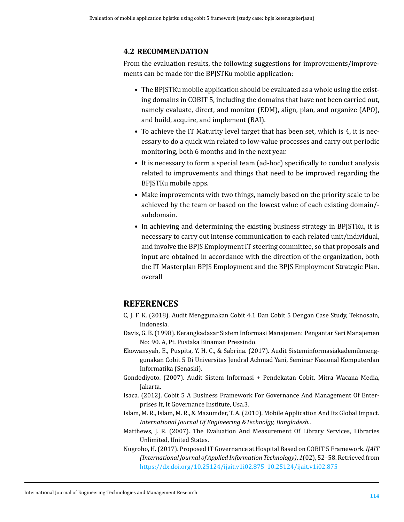#### **4.2 RECOMMENDATION**

From the evaluation results, the following suggestions for improvements/improvements can be made for the BPJSTKu mobile application:

- The BPJSTKu mobile application should be evaluated as a whole using the existing domains in COBIT 5, including the domains that have not been carried out, namely evaluate, direct, and monitor (EDM), align, plan, and organize (APO), and build, acquire, and implement (BAI).
- To achieve the IT Maturity level target that has been set, which is 4, it is necessary to do a quick win related to low-value processes and carry out periodic monitoring, both 6 months and in the next year.
- It is necessary to form a special team (ad-hoc) specifically to conduct analysis related to improvements and things that need to be improved regarding the BPJSTKu mobile apps.
- Make improvements with two things, namely based on the priority scale to be achieved by the team or based on the lowest value of each existing domain/ subdomain.
- In achieving and determining the existing business strategy in BPJSTKu, it is necessary to carry out intense communication to each related unit/individual, and involve the BPJS Employment IT steering committee, so that proposals and input are obtained in accordance with the direction of the organization, both the IT Masterplan BPJS Employment and the BPJS Employment Strategic Plan. overall

## **REFERENCES**

- C, J. F. K. (2018). Audit Menggunakan Cobit 4.1 Dan Cobit 5 Dengan Case Study, Teknosain, Indonesia.
- Davis, G. B. (1998). Kerangkadasar Sistem Informasi Manajemen: Pengantar Seri Manajemen No: 90. A, Pt. Pustaka Binaman Pressindo.
- Ekowansyah, E., Puspita, Y. H. C., & Sabrina. (2017). Audit Sisteminformasiakademikmenggunakan Cobit 5 Di Universitas Jendral Achmad Yani, Seminar Nasional Komputerdan Informatika (Senaski).
- Gondodiyoto. (2007). Audit Sistem Informasi + Pendekatan Cobit, Mitra Wacana Media, Jakarta.
- Isaca. (2012). Cobit 5 A Business Framework For Governance And Management Of Enterprises It, It Governance Institute, Usa.3.
- <span id="page-10-0"></span>Islam, M. R., Islam, M. R., & Mazumder, T. A. (2010). Mobile Application And Its Global Impact. *International Journal Of Engineering &Technolgy, Bangladesh.*.
- Matthews, J. R. (2007). The Evaluation And Measurement Of Library Services, Libraries Unlimited, United States.
- Nugroho, H. (2017). Proposed IT Governance at Hospital Based on COBIT 5 Framework. *IJAIT (International Journal of Applied Information Technology)*, *1*(02), 52–58. Retrieved from <https://dx.doi.org/10.25124/ijait.v1i02.875> <10.25124/ijait.v1i02.875>